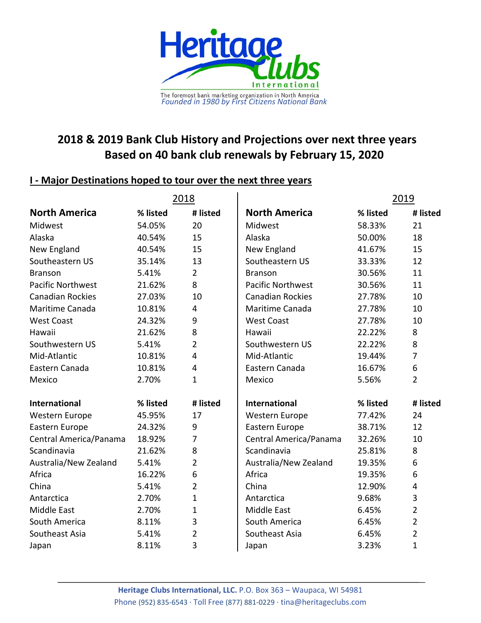

## **2020 & 2022 Bank Club History and Projections over next three years Based on 39 bank club renewals by February 15, 2022**

## **I ‐ Major Destinations hoped to tour over the next three years**

|                          | 2020     |                |                                   | 2022     |                |
|--------------------------|----------|----------------|-----------------------------------|----------|----------------|
| <b>North America</b>     | % listed | # listed       | <b>North America</b>              | % listed | # listed       |
| Alaska                   | 50.00%   | 14             | Alaska                            | 65.22%   | 15             |
| <b>Branson</b>           | 50.00%   | 14             | <b>Branson</b>                    | 60.87%   | 14             |
| <b>Canadian Rockies</b>  | 42.86%   | 12             | <b>Canadian Rockies</b>           | 47.83%   | 11             |
| Maritime Canada          | 39.29%   | 11             | Maritime Canada                   | 39.13%   | 9              |
| Midwest                  | 35.71%   | 10             | Midwest                           | 39.13%   | 9              |
| New England              | 50.00%   | 14             | New England                       | 39.13%   | 9              |
| <b>Pacific Northwest</b> | 32.14%   | 9              | <b>Pacific Northwest</b>          | 34.78%   | 8              |
| Southeastern US          | 25.00%   | 7              | Southeastern US                   | 34.78%   | 8              |
| Southwestern US          | 32.14%   | 9              | Southwest                         | 26.09%   | 6              |
| Hawaii                   | 17.86%   | 5              | Hawaii                            | 17.39%   | 4              |
| Mid-Atlantic             | 14.29%   | $\overline{4}$ | Mid-Atlantic                      | 17.39%   | 4              |
| Eastern Canada           | 14.29%   | 4              | Eastern Canada                    | 13.04%   | 3              |
| Mexico                   | 3.57%    | 1              | Mexico                            | 4.35%    | $\mathbf 1$    |
| <b>West Coast</b>        | 14.29%   | 4              | <b>West Coast</b>                 | 4.35%    | 1              |
| International            | % listed | # listed       | <b>International</b>              | % listed | # listed       |
| Western Europe           | 65.22%   | 15             | <b>Western Europe</b>             | 72.22%   | 13             |
| Eastern Europe           | 39.13%   | 9              | Africa                            | 33.33%   | 6              |
| Scandinavia              | 30.43%   | $\overline{7}$ | Scandinavia                       | 33.33%   | 6              |
| Africa                   | 30.43%   | $\overline{7}$ | Eastern Europe                    | 27.78%   | 5              |
| Australia/New Zealand    | 17.39%   | 4              | 5<br>Australia/New Zealand 27.78% |          |                |
| South America            | 17.39%   | $\overline{4}$ | South America                     | 22.22%   | 4              |
| <b>Central America</b>   | 17.39%   | 4              | Central America                   | 11.11%   | $\overline{2}$ |
| South Pacific            | 17.39%   | 4              | Middle East                       | 5.56%    | 1              |
| Japan                    | 4.35%    | $\mathbf 1$    | Japan                             | 5.56%    | 1              |
| Antarctica               | 8.70%    | 2              | Antarctica                        | 0.00%    | $\mathbf 0$    |
| <b>Middle East</b>       | 8.70%    | 2              | South Pacific                     | 0.00%    | $\mathbf 0$    |
| Southeast Asia China     | 8.70%    | 2              | Southeast Asia                    | 0.00%    | $\mathbf 0$    |
|                          | 0.00%    | $\mathbf 0$    | China                             | 0.00%    | $\mathbf 0$    |